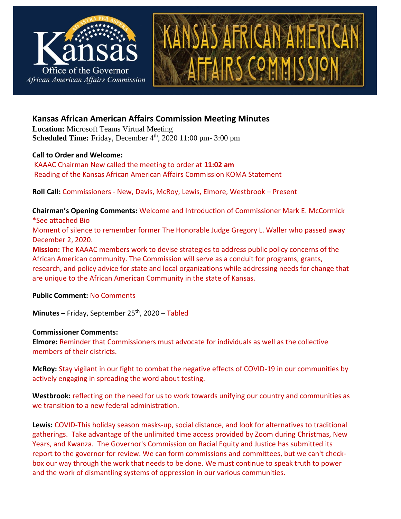

# **Kansas African American Affairs Commission Meeting Minutes**

**Location:** Microsoft Teams Virtual Meeting **Scheduled Time:** Friday, December 4<sup>th</sup>, 2020 11:00 pm- 3:00 pm

#### **Call to Order and Welcome:**

KAAAC Chairman New called the meeting to order at **11:02 am** Reading of the Kansas African American Affairs Commission KOMA Statement

**Roll Call:** Commissioners - New, Davis, McRoy, Lewis, Elmore, Westbrook – Present

**Chairman's Opening Comments:** Welcome and Introduction of Commissioner Mark E. McCormick \*See attached Bio

Moment of silence to remember former The Honorable Judge Gregory L. Waller who passed away December 2, 2020.

**Mission:** The KAAAC members work to devise strategies to address public policy concerns of the African American community. The Commission will serve as a conduit for programs, grants, research, and policy advice for state and local organizations while addressing needs for change that are unique to the African American Community in the state of Kansas.

**Public Comment:** No Comments

**Minutes –** Friday, September 25th, 2020 – Tabled

### **Commissioner Comments:**

**Elmore:** Reminder that Commissioners must advocate for individuals as well as the collective members of their districts.

**McRoy:** Stay vigilant in our fight to combat the negative effects of COVID-19 in our communities by actively engaging in spreading the word about testing.

**Westbrook:** reflecting on the need for us to work towards unifying our country and communities as we transition to a new federal administration.

**Lewis:** COVID-This holiday season masks-up, social distance, and look for alternatives to traditional gatherings. Take advantage of the unlimited time access provided by Zoom during Christmas, New Years, and Kwanza. The Governor's Commission on Racial Equity and Justice has submitted its report to the governor for review. We can form commissions and committees, but we can't checkbox our way through the work that needs to be done. We must continue to speak truth to power and the work of dismantling systems of oppression in our various communities.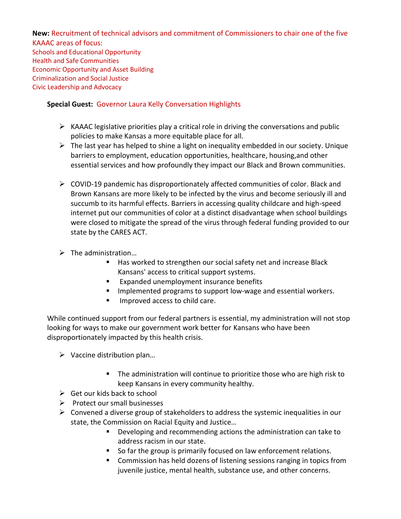**New:** Recruitment of technical advisors and commitment of Commissioners to chair one of the five KAAAC areas of focus: Schools and Educational Opportunity Health and Safe Communities Economic Opportunity and Asset Building Criminalization and Social Justice Civic Leadership and Advocacy

# **Special Guest:** Governor Laura Kelly Conversation Highlights

- $\triangleright$  KAAAC legislative priorities play a critical role in driving the conversations and public policies to make Kansas a more equitable place for all.
- $\triangleright$  The last year has helped to shine a light on inequality embedded in our society. Unique barriers to employment, education opportunities, healthcare, housing,and other essential services and how profoundly they impact our Black and Brown communities.
- $\triangleright$  COVID-19 pandemic has disproportionately affected communities of color. Black and Brown Kansans are more likely to be infected by the virus and become seriously ill and succumb to its harmful effects. Barriers in accessing quality childcare and high-speed internet put our communities of color at a distinct disadvantage when school buildings were closed to mitigate the spread of the virus through federal funding provided to our state by the CARES ACT.
- $\triangleright$  The administration...
	- Has worked to strengthen our social safety net and increase Black Kansans' access to critical support systems.
	- Expanded unemployment insurance benefits
	- Implemented programs to support low-wage and essential workers.
	- Improved access to child care.

While continued support from our federal partners is essential, my administration will not stop looking for ways to make our government work better for Kansans who have been disproportionately impacted by this health crisis.

- $\triangleright$  Vaccine distribution plan...
	- The administration will continue to prioritize those who are high risk to keep Kansans in every community healthy.
- $\triangleright$  Get our kids back to school
- $\triangleright$  Protect our small businesses
- $\triangleright$  Convened a diverse group of stakeholders to address the systemic inequalities in our state, the Commission on Racial Equity and Justice…
	- Developing and recommending actions the administration can take to address racism in our state.
	- So far the group is primarily focused on law enforcement relations.
	- Commission has held dozens of listening sessions ranging in topics from juvenile justice, mental health, substance use, and other concerns.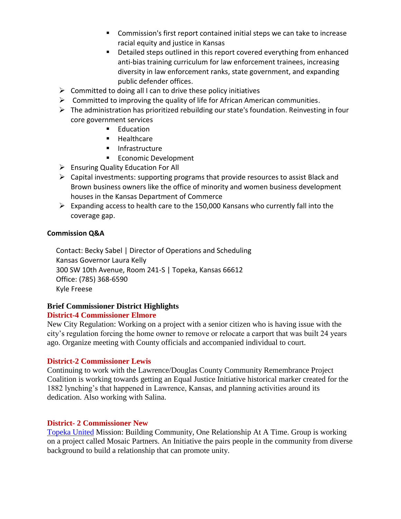- Commission's first report contained initial steps we can take to increase racial equity and justice in Kansas
- Detailed steps outlined in this report covered everything from enhanced anti-bias training curriculum for law enforcement trainees, increasing diversity in law enforcement ranks, state government, and expanding public defender offices.
- $\triangleright$  Committed to doing all I can to drive these policy initiatives
- $\triangleright$  Committed to improving the quality of life for African American communities.
- ➢ The administration has prioritized rebuilding our state's foundation. Reinvesting in four core government services
	- Education
	- Healthcare
	- Infrastructure
	- Economic Development
- ➢ Ensuring Quality Education For All
- $\triangleright$  Capital investments: supporting programs that provide resources to assist Black and Brown business owners like the office of minority and women business development houses in the Kansas Department of Commerce
- $\triangleright$  Expanding access to health care to the 150,000 Kansans who currently fall into the coverage gap.

#### **Commission Q&A**

Contact: Becky Sabel | Director of Operations and Scheduling Kansas Governor Laura Kelly 300 SW 10th Avenue, Room 241-S | Topeka, Kansas 66612 Office: (785) 368-6590 Kyle Freese

### **Brief Commissioner District Highlights**

### **District-4 Commissioner Elmore**

New City Regulation: Working on a project with a senior citizen who is having issue with the city's regulation forcing the home owner to remove or relocate a carport that was built 24 years ago. Organize meeting with County officials and accompanied individual to court.

### **District-2 Commissioner Lewis**

Continuing to work with the Lawrence/Douglas County Community Remembrance Project Coalition is working towards getting an Equal Justice Initiative historical marker created for the 1882 lynching's that happened in Lawrence, Kansas, and planning activities around its dedication. Also working with Salina.

### **District- 2 Commissioner New**

[Topeka United](https://www.topekaunited.org/about-us.html) Mission: Building Community, One Relationship At A Time. Group is working on a project called Mosaic Partners. An Initiative the pairs people in the community from diverse background to build a relationship that can promote unity.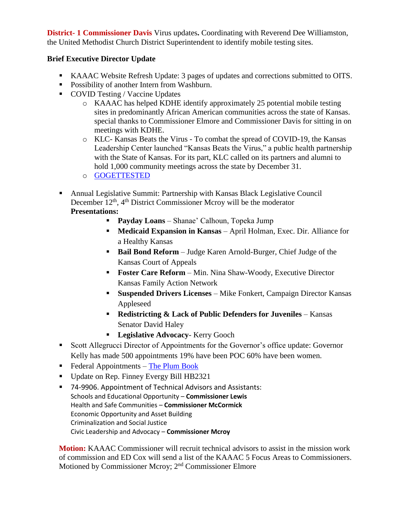**District- 1 Commissioner Davis** Virus updates**.** Coordinating with Reverend Dee Williamston, the United Methodist Church District Superintendent to identify mobile testing sites.

## **Brief Executive Director Update**

- KAAAC Website Refresh Update: 3 pages of updates and corrections submitted to OITS.
- Possibility of another Intern from Washburn.
- COVID Testing / Vaccine Updates
	- o KAAAC has helped KDHE identify approximately 25 potential mobile testing sites in predominantly African American communities across the state of Kansas. special thanks to Commissioner Elmore and Commissioner Davis for sitting in on meetings with KDHE.
	- o KLC- Kansas Beats the Virus To combat the spread of COVID-19, the Kansas Leadership Center launched "Kansas Beats the Virus," a public health partnership with the State of Kansas. For its part, KLC called on its partners and alumni to hold 1,000 community meetings across the state by December 31.
	- o [GOGETTESTED](https://www.gogettested.com/kansas)
- Annual Legislative Summit: Partnership with Kansas Black Legislative Council December 12<sup>th</sup>, 4<sup>th</sup> District Commissioner Mcroy will be the moderator

### **Presentations:**

- **Payday Loans** Shanae' Calhoun, Topeka Jump
- **Medicaid Expansion in Kansas** April Holman, Exec. Dir. Alliance for a Healthy Kansas
- **Bail Bond Reform** Judge Karen Arnold-Burger, Chief Judge of the Kansas Court of Appeals
- **Foster Care Reform** Min. Nina Shaw-Woody, Executive Director Kansas Family Action Network
- **Suspended Drivers Licenses** Mike Fonkert, Campaign Director Kansas Appleseed
- **Redistricting & Lack of Public Defenders for Juveniles** Kansas Senator David Haley
- **Legislative Advocacy** Kerry Gooch
- Scott Allegrucci Director of Appointments for the Governor's office update: Governor Kelly has made 500 appointments 19% have been POC 60% have been women.
- $\blacksquare$  Federal Appointments [The Plum Book](https://www.govinfo.gov/content/pkg/GPO-PLUMBOOK-2020/pdf/GPO-PLUMBOOK-2020.pdf)
- Update on Rep. Finney Evergy Bill HB2321
- 74-9906. Appointment of Technical Advisors and Assistants: Schools and Educational Opportunity – **Commissioner Lewis** Health and Safe Communities – **Commissioner McCormick** Economic Opportunity and Asset Building Criminalization and Social Justice Civic Leadership and Advocacy – **Commissioner Mcroy**

**Motion:** KAAAC Commissioner will recruit technical advisors to assist in the mission work of commission and ED Cox will send a list of the KAAAC 5 Focus Areas to Commissioners. Motioned by Commissioner Mcroy; 2nd Commissioner Elmore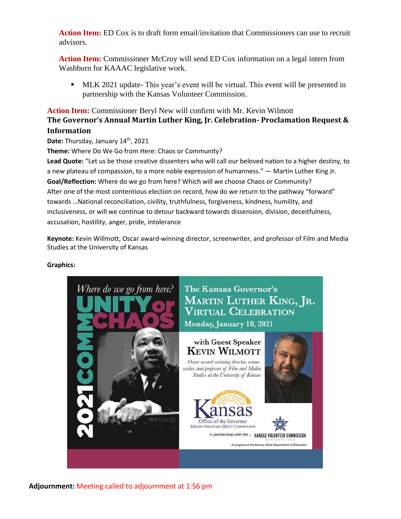**Action Item:** ED Cox is to draft form email/invitation that Commissioners can use to recruit advisors.

**Action Item:** Commissioner McCroy will send ED Cox information on a legal intern from Washburn for KAAAC legislative work.

**• MLK 2021 update-** This year's event will be virtual. This event will be presented in partnership with the Kansas Volunteer Commission.

# **Action Item:** Commissioner Beryl New will confirm with Mr. Kevin Wilmott **The Governor's Annual Martin Luther King, Jr. Celebration- Proclamation Request & Information**

Date: Thursday, January 14<sup>th</sup>, 2021

**Theme:** Where Do We Go from Here: Chaos or Community?

**Lead Quote:** "Let us be those creative dissenters who will call our beloved nation to a higher destiny, to a new plateau of compassion, to a more noble expression of humanness." ― Martin Luther King Jr. **Goal/Reflection:** Where do we go from here? Which will we choose Chaos or Community? After one of the most contentious election on record, how do we return to the pathway "forward" towards …National reconciliation, civility, truthfulness, forgiveness, kindness, humility, and inclusiveness, or will we continue to detour backward towards dissension, division, deceitfulness, accusation, hostility, anger, pride, intolerance

**Keynote:** Kevin Willmott, Oscar award-winning director, screenwriter, and professor of Film and Media Studies at the University of Kansas

#### **Graphics:**



**Adjournment:** Meeting called to adjournment at 1:56 pm